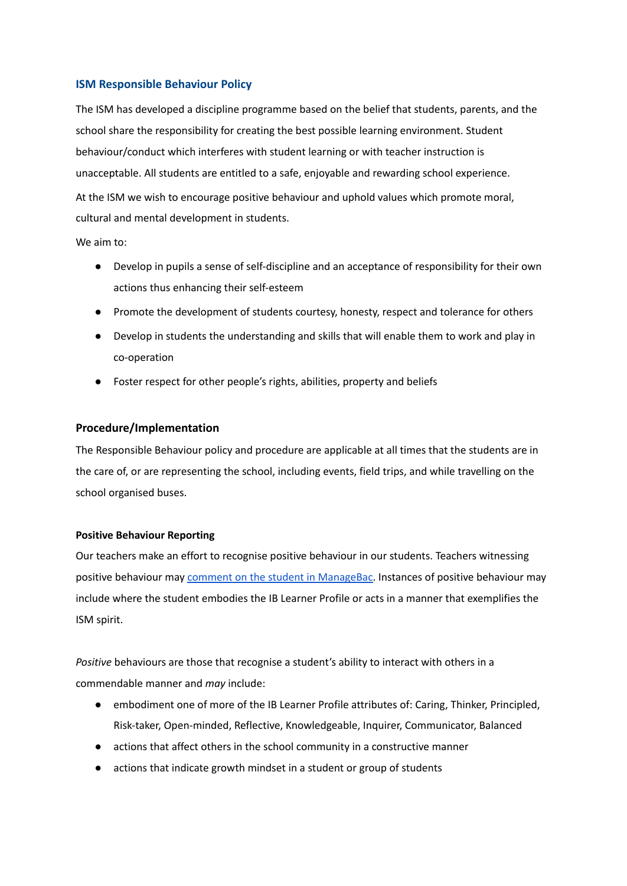#### **ISM Responsible Behaviour Policy**

The ISM has developed a discipline programme based on the belief that students, parents, and the school share the responsibility for creating the best possible learning environment. Student behaviour/conduct which interferes with student learning or with teacher instruction is unacceptable. All students are entitled to a safe, enjoyable and rewarding school experience. At the ISM we wish to encourage positive behaviour and uphold values which promote moral, cultural and mental development in students.

We aim to:

- Develop in pupils a sense of self-discipline and an acceptance of responsibility for their own actions thus enhancing their self-esteem
- Promote the development of students courtesy, honesty, respect and tolerance for others
- Develop in students the understanding and skills that will enable them to work and play in co-operation
- Foster respect for other people's rights, abilities, property and beliefs

#### **Procedure/Implementation**

The Responsible Behaviour policy and procedure are applicable at all times that the students are in the care of, or are representing the school, including events, field trips, and while travelling on the school organised buses.

#### **Positive Behaviour Reporting**

Our teachers make an effort to recognise positive behaviour in our students. Teachers witnessing positive behaviour may comment on the student in [ManageBac.](https://docs.google.com/document/d/1h4xiekCncE-hwBO0PuREcLOOSOZZ7TOjYaNYvdaEWio/edit?usp=sharing) Instances of positive behaviour may include where the student embodies the IB Learner Profile or acts in a manner that exemplifies the ISM spirit.

*Positive* behaviours are those that recognise a student's ability to interact with others in a commendable manner and *may* include:

- embodiment one of more of the IB Learner Profile attributes of: Caring, Thinker, Principled, Risk-taker, Open-minded, Reflective, Knowledgeable, Inquirer, Communicator, Balanced
- actions that affect others in the school community in a constructive manner
- actions that indicate growth mindset in a student or group of students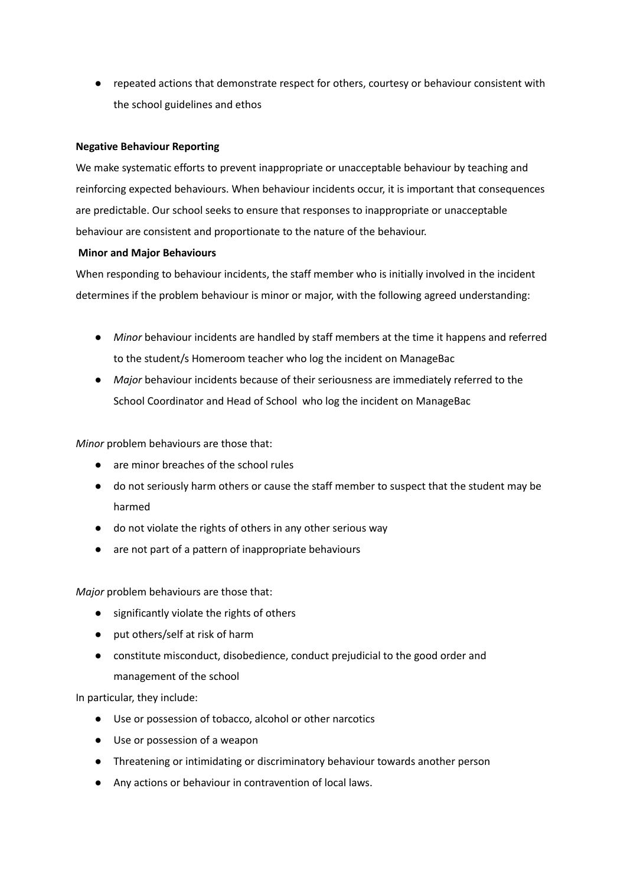● repeated actions that demonstrate respect for others, courtesy or behaviour consistent with the school guidelines and ethos

### **Negative Behaviour Reporting**

We make systematic efforts to prevent inappropriate or unacceptable behaviour by teaching and reinforcing expected behaviours. When behaviour incidents occur, it is important that consequences are predictable. Our school seeks to ensure that responses to inappropriate or unacceptable behaviour are consistent and proportionate to the nature of the behaviour.

## **Minor and Major Behaviours**

When responding to behaviour incidents, the staff member who is initially involved in the incident determines if the problem behaviour is minor or major, with the following agreed understanding:

- *Minor* behaviour incidents are handled by staff members at the time it happens and referred to the student/s Homeroom teacher who log the incident on ManageBac
- *Major* behaviour incidents because of their seriousness are immediately referred to the School Coordinator and Head of School who log the incident on ManageBac

*Minor* problem behaviours are those that:

- are minor breaches of the school rules
- do not seriously harm others or cause the staff member to suspect that the student may be harmed
- do not violate the rights of others in any other serious way
- are not part of a pattern of inappropriate behaviours

*Major* problem behaviours are those that:

- significantly violate the rights of others
- put others/self at risk of harm
- constitute misconduct, disobedience, conduct prejudicial to the good order and management of the school

In particular, they include:

- Use or possession of tobacco, alcohol or other narcotics
- Use or possession of a weapon
- Threatening or intimidating or discriminatory behaviour towards another person
- Any actions or behaviour in contravention of local laws.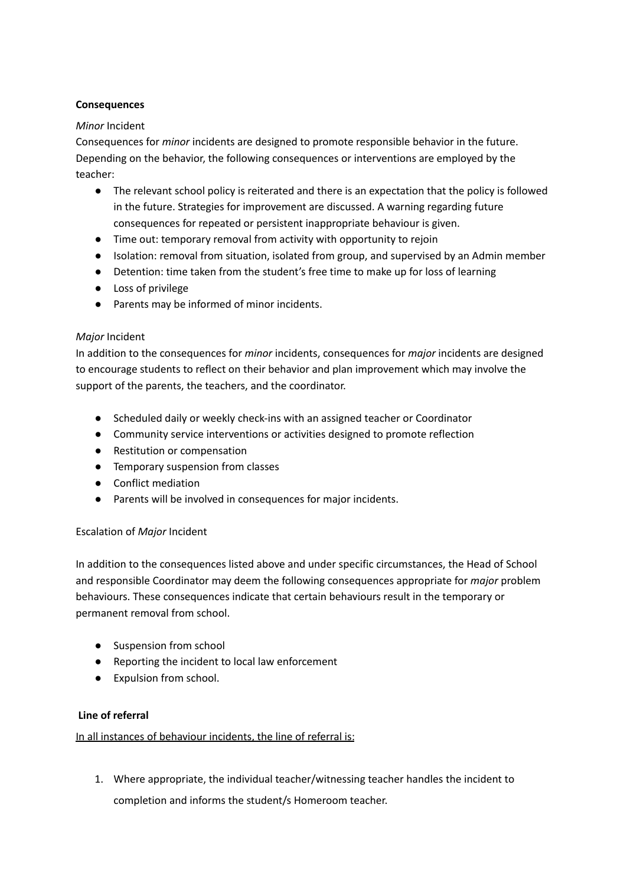# **Consequences**

### *Minor* Incident

Consequences for *minor* incidents are designed to promote responsible behavior in the future. Depending on the behavior, the following consequences or interventions are employed by the teacher:

- The relevant school policy is reiterated and there is an expectation that the policy is followed in the future. Strategies for improvement are discussed. A warning regarding future consequences for repeated or persistent inappropriate behaviour is given.
- Time out: temporary removal from activity with opportunity to rejoin
- Isolation: removal from situation, isolated from group, and supervised by an Admin member
- Detention: time taken from the student's free time to make up for loss of learning
- Loss of privilege
- Parents may be informed of minor incidents.

## *Major* Incident

In addition to the consequences for *minor* incidents, consequences for *major* incidents are designed to encourage students to reflect on their behavior and plan improvement which may involve the support of the parents, the teachers, and the coordinator.

- Scheduled daily or weekly check-ins with an assigned teacher or Coordinator
- Community service interventions or activities designed to promote reflection
- Restitution or compensation
- Temporary suspension from classes
- Conflict mediation
- Parents will be involved in consequences for major incidents.

# Escalation of *Major* Incident

In addition to the consequences listed above and under specific circumstances, the Head of School and responsible Coordinator may deem the following consequences appropriate for *major* problem behaviours. These consequences indicate that certain behaviours result in the temporary or permanent removal from school.

- Suspension from school
- Reporting the incident to local law enforcement
- Expulsion from school.

# **Line of referral**

In all instances of behaviour incidents, the line of referral is:

1. Where appropriate, the individual teacher/witnessing teacher handles the incident to completion and informs the student/s Homeroom teacher.